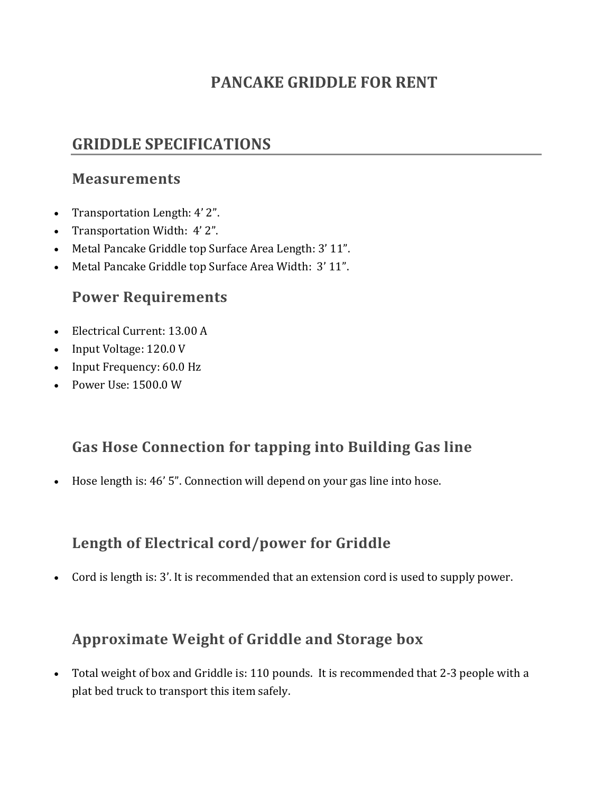## PANCAKE GRIDDLE FOR RENT

# GRIDDLE SPECIFICATIONS

#### Measurements

- Transportation Length: 4' 2".
- Transportation Width: 4' 2".
- Metal Pancake Griddle top Surface Area Length: 3' 11".
- Metal Pancake Griddle top Surface Area Width: 3' 11".

#### Power Requirements

- Electrical Current: 13.00 A
- Input Voltage: 120.0 V
- Input Frequency: 60.0 Hz
- Power Use: 1500.0 W

### Gas Hose Connection for tapping into Building Gas line

Hose length is: 46' 5". Connection will depend on your gas line into hose.

# Length of Electrical cord/power for Griddle

Cord is length is: 3'. It is recommended that an extension cord is used to supply power.

### Approximate Weight of Griddle and Storage box

 Total weight of box and Griddle is: 110 pounds. It is recommended that 2-3 people with a plat bed truck to transport this item safely.